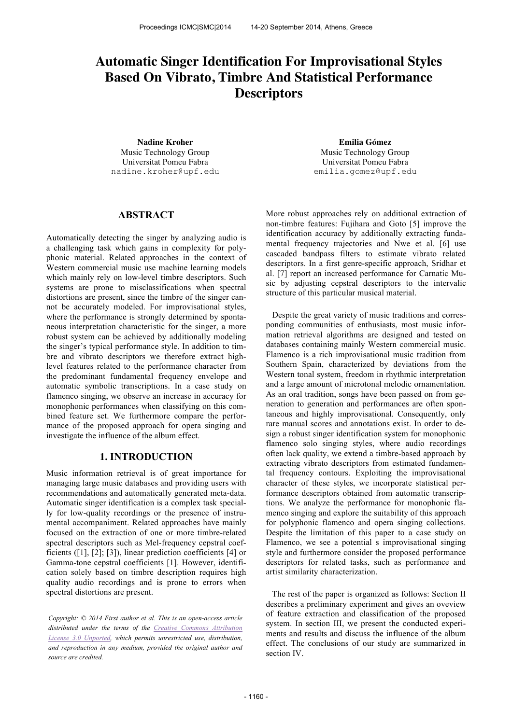# **Automatic Singer Identification For Improvisational Styles Based On Vibrato, Timbre And Statistical Performance Descriptors**

**Nadine Kroher Emilia Gómez** Music Technology Group Universitat Pomeu Fabra nadine.kroher@upf.edu

Music Technology Group Universitat Pomeu Fabra emilia.gomez@upf.edu

# **ABSTRACT**

Automatically detecting the singer by analyzing audio is a challenging task which gains in complexity for polyphonic material. Related approaches in the context of Western commercial music use machine learning models which mainly rely on low-level timbre descriptors. Such systems are prone to misclassifications when spectral distortions are present, since the timbre of the singer cannot be accurately modeled. For improvisational styles, where the performance is strongly determined by spontaneous interpretation characteristic for the singer, a more robust system can be achieved by additionally modeling the singer's typical performance style. In addition to timbre and vibrato descriptors we therefore extract highlevel features related to the performance character from the predominant fundamental frequency envelope and automatic symbolic transcriptions. In a case study on flamenco singing, we observe an increase in accuracy for monophonic performances when classifying on this combined feature set. We furthermore compare the performance of the proposed approach for opera singing and investigate the influence of the album effect.

# **1. INTRODUCTION**

Music information retrieval is of great importance for managing large music databases and providing users with recommendations and automatically generated meta-data. Automatic singer identification is a complex task specially for low-quality recordings or the presence of instrumental accompaniment. Related approaches have mainly focused on the extraction of one or more timbre-related spectral descriptors such as Mel-frequency cepstral coefficients ([1], [2]; [3]), linear prediction coefficients [4] or Gamma-tone cepstral coefficients [1]. However, identification solely based on timbre description requires high quality audio recordings and is prone to errors when spectral distortions are present.

*Copyright: © 2014 First author et al. This is an open-access article distributed under the terms of the Creative Commons Attribution License 3.0 Unported, which permits unrestricted use, distribution, and reproduction in any medium, provided the original author and source are credited.*

More robust approaches rely on additional extraction of non-timbre features: Fujihara and Goto [5] improve the identification accuracy by additionally extracting fundamental frequency trajectories and Nwe et al. [6] use cascaded bandpass filters to estimate vibrato related descriptors. In a first genre-specific approach, Sridhar et al. [7] report an increased performance for Carnatic Music by adjusting cepstral descriptors to the intervalic structure of this particular musical material.

Despite the great variety of music traditions and corresponding communities of enthusiasts, most music information retrieval algorithms are designed and tested on databases containing mainly Western commercial music. Flamenco is a rich improvisational music tradition from Southern Spain, characterized by deviations from the Western tonal system, freedom in rhythmic interpretation and a large amount of microtonal melodic ornamentation. As an oral tradition, songs have been passed on from generation to generation and performances are often spontaneous and highly improvisational. Consequently, only rare manual scores and annotations exist. In order to design a robust singer identification system for monophonic flamenco solo singing styles, where audio recordings often lack quality, we extend a timbre-based approach by extracting vibrato descriptors from estimated fundamental frequency contours. Exploiting the improvisational character of these styles, we incorporate statistical performance descriptors obtained from automatic transcriptions. We analyze the performance for monophonic flamenco singing and explore the suitability of this approach for polyphonic flamenco and opera singing collections. Despite the limitation of this paper to a case study on Flamenco, we see a potential s improvisational singing style and furthermore consider the proposed performance descriptors for related tasks, such as performance and artist similarity characterization.

The rest of the paper is organized as follows: Section II describes a preliminary experiment and gives an oveview of feature extraction and classification of the proposed system. In section III, we present the conducted experiments and results and discuss the influence of the album effect. The conclusions of our study are summarized in section IV.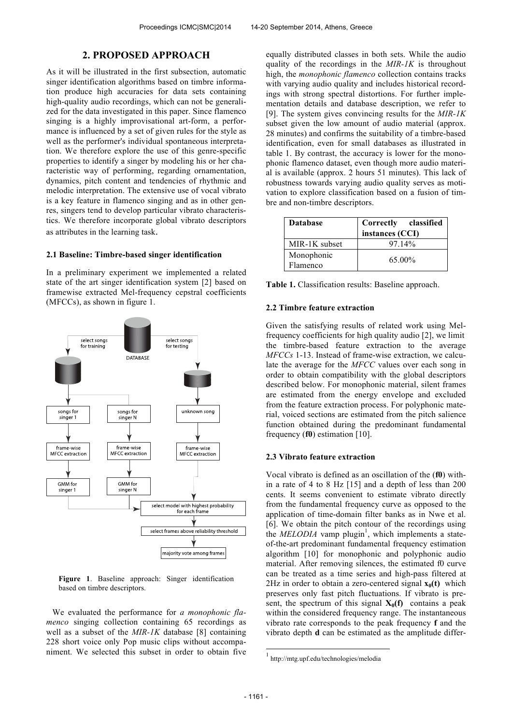# **2. PROPOSED APPROACH**

As it will be illustrated in the first subsection, automatic singer identification algorithms based on timbre information produce high accuracies for data sets containing high-quality audio recordings, which can not be generalized for the data investigated in this paper. Since flamenco singing is a highly improvisational art-form, a performance is influenced by a set of given rules for the style as well as the performer's individual spontaneous interpretation. We therefore explore the use of this genre-specific properties to identify a singer by modeling his or her characteristic way of performing, regarding ornamentation, dynamics, pitch content and tendencies of rhythmic and melodic interpretation. The extensive use of vocal vibrato is a key feature in flamenco singing and as in other genres, singers tend to develop particular vibrato characteristics. We therefore incorporate global vibrato descriptors as attributes in the learning task.

### **2.1 Baseline: Timbre-based singer identification**

In a preliminary experiment we implemented a related state of the art singer identification system [2] based on framewise extracted Mel-frequency cepstral coefficients (MFCCs), as shown in figure 1.



**Figure 1**. Baseline approach: Singer identification based on timbre descriptors.

We evaluated the performance for *a monophonic flamenco* singing collection containing 65 recordings as well as a subset of the *MIR-1K* database [8] containing 228 short voice only Pop music clips without accompaniment. We selected this subset in order to obtain five equally distributed classes in both sets. While the audio quality of the recordings in the *MIR-1K* is throughout high, the *monophonic flamenco* collection contains tracks with varying audio quality and includes historical recordings with strong spectral distortions. For further implementation details and database description, we refer to [9]. The system gives convincing results for the *MIR-1K* subset given the low amount of audio material (approx. 28 minutes) and confirms the suitability of a timbre-based identification, even for small databases as illustrated in table 1. By contrast, the accuracy is lower for the monophonic flamenco dataset, even though more audio material is available (approx. 2 hours 51 minutes). This lack of robustness towards varying audio quality serves as motivation to explore classification based on a fusion of timbre and non-timbre descriptors.

| <b>Database</b>        | Correctly classified<br>instances (CCI) |
|------------------------|-----------------------------------------|
| MIR-1K subset          | 9714%                                   |
| Monophonic<br>Flamenco | 65.00%                                  |

**Table 1.** Classification results: Baseline approach.

#### **2.2 Timbre feature extraction**

Given the satisfying results of related work using Melfrequency coefficients for high quality audio [2], we limit the timbre-based feature extraction to the average *MFCCs* 1-13. Instead of frame-wise extraction, we calculate the average for the *MFCC* values over each song in order to obtain compatibility with the global descriptors described below. For monophonic material, silent frames are estimated from the energy envelope and excluded from the feature extraction process. For polyphonic material, voiced sections are estimated from the pitch salience function obtained during the predominant fundamental frequency (**f0**) estimation [10].

## **2.3 Vibrato feature extraction**

Vocal vibrato is defined as an oscillation of the (**f0**) within a rate of 4 to 8 Hz [15] and a depth of less than 200 cents. It seems convenient to estimate vibrato directly from the fundamental frequency curve as opposed to the application of time-domain filter banks as in Nwe et al. [6]. We obtain the pitch contour of the recordings using the *MELODIA* vamp plugin<sup>1</sup>, which implements a stateof-the-art predominant fundamental frequency estimation algorithm [10] for monophonic and polyphonic audio material. After removing silences, the estimated f0 curve can be treated as a time series and high-pass filtered at 2Hz in order to obtain a zero-centered signal  $\mathbf{x}_0(t)$  which preserves only fast pitch fluctuations. If vibrato is present, the spectrum of this signal  $X_0(f)$  contains a peak within the considered frequency range. The instantaneous vibrato rate corresponds to the peak frequency **f** and the vibrato depth **d** can be estimated as the amplitude differ-

j

<sup>1</sup> http://mtg.upf.edu/technologies/melodia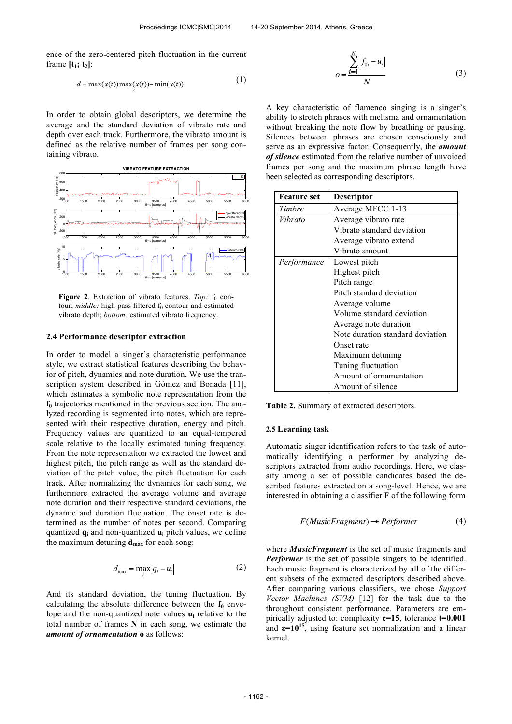ence of the zero-centered pitch fluctuation in the current frame  $[t_1; t_2]$ :

$$
d = \max(x(t)) \max_{t} (x(t)) - \min(x(t)) \tag{1}
$$

In order to obtain global descriptors, we determine the average and the standard deviation of vibrato rate and depth over each track. Furthermore, the vibrato amount is defined as the relative number of frames per song containing vibrato.



**Figure 2.** Extraction of vibrato features. *Top:* f<sub>0</sub> contour; *middle:* high-pass filtered f<sub>0</sub> contour and estimated vibrato depth; *bottom:* estimated vibrato frequency.

#### **2.4 Performance descriptor extraction**

In order to model a singer's characteristic performance style, we extract statistical features describing the behavior of pitch, dynamics and note duration. We use the transcription system described in Gómez and Bonada [11], which estimates a symbolic note representation from the **f<sup>0</sup>** trajectories mentioned in the previous section. The analyzed recording is segmented into notes, which are represented with their respective duration, energy and pitch. Frequency values are quantized to an equal-tempered scale relative to the locally estimated tuning frequency. From the note representation we extracted the lowest and highest pitch, the pitch range as well as the standard deviation of the pitch value, the pitch fluctuation for each track. After normalizing the dynamics for each song, we furthermore extracted the average volume and average note duration and their respective standard deviations, the dynamic and duration fluctuation. The onset rate is determined as the number of notes per second. Comparing quantized **q<sup>i</sup>** and non-quantized **u<sup>i</sup>** pitch values, we define the maximum detuning  $d_{max}$  for each song:

$$
d_{\max} = \max_{i} |q_i - u_i| \tag{2}
$$

And its standard deviation, the tuning fluctuation. By calculating the absolute difference between the  $f_0$  envelope and the non-quantized note values **u<sup>i</sup>** relative to the total number of frames **N** in each song, we estimate the *amount of ornamentation* **o** as follows:

$$
o = \frac{\sum_{i=1}^{N} |f_{0i} - u_i|}{N}
$$
 (3)

A key characteristic of flamenco singing is a singer's ability to stretch phrases with melisma and ornamentation without breaking the note flow by breathing or pausing. Silences between phrases are chosen consciously and serve as an expressive factor. Consequently, the *amount of silence* estimated from the relative number of unvoiced frames per song and the maximum phrase length have been selected as corresponding descriptors.

| <b>Feature set</b> | Descriptor                       |  |
|--------------------|----------------------------------|--|
| Timbre             | Average MFCC 1-13                |  |
| Vibrato            | Average vibrato rate             |  |
|                    | Vibrato standard deviation       |  |
|                    | Average vibrato extend           |  |
|                    | Vibrato amount                   |  |
| Performance        | Lowest pitch                     |  |
|                    | Highest pitch                    |  |
|                    | Pitch range                      |  |
|                    | Pitch standard deviation         |  |
|                    | Average volume                   |  |
|                    | Volume standard deviation        |  |
|                    | Average note duration            |  |
|                    | Note duration standard deviation |  |
|                    | Onset rate                       |  |
|                    | Maximum detuning                 |  |
|                    | Tuning fluctuation               |  |
|                    | Amount of ornamentation          |  |
|                    | Amount of silence                |  |

**Table 2.** Summary of extracted descriptors.

#### **2.5 Learning task**

Automatic singer identification refers to the task of automatically identifying a performer by analyzing descriptors extracted from audio recordings. Here, we classify among a set of possible candidates based the described features extracted on a song-level. Hence, we are interested in obtaining a classifier F of the following form

$$
F(MusicFragment) \rightarrow Performance \tag{4}
$$

where *MusicFragment* is the set of music fragments and *Performer* is the set of possible singers to be identified. Each music fragment is characterized by all of the different subsets of the extracted descriptors described above. After comparing various classifiers, we chose *Support Vector Machines (SVM)* [12] for the task due to the throughout consistent performance. Parameters are empirically adjusted to: complexity **c=15**, tolerance **t=0.001** and  $\epsilon = 10^{15}$ , using feature set normalization and a linear kernel.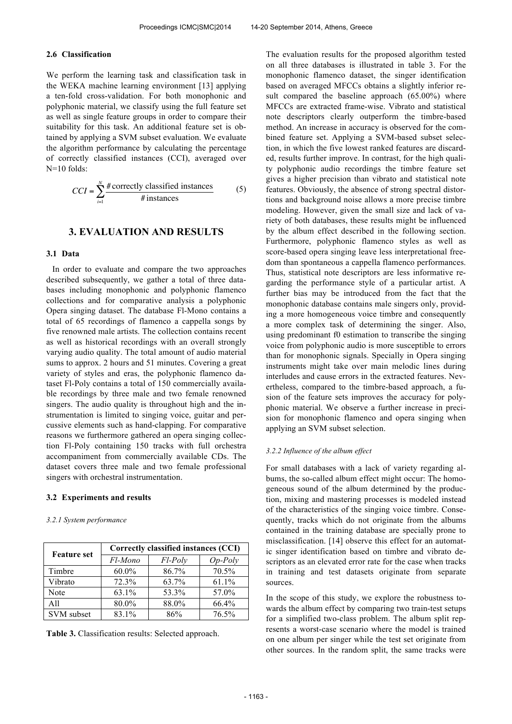## **2.6 Classification**

We perform the learning task and classification task in the WEKA machine learning environment [13] applying a ten-fold cross-validation. For both monophonic and polyphonic material, we classify using the full feature set as well as single feature groups in order to compare their suitability for this task. An additional feature set is obtained by applying a SVM subset evaluation. We evaluate the algorithm performance by calculating the percentage of correctly classified instances (CCI), averaged over N=10 folds:

$$
CCI = \sum_{i=1}^{N} \frac{\text{\# correctly classified instances}}{\text{\# instances}}
$$
 (5)

## **3. EVALUATION AND RESULTS**

### **3.1 Data**

In order to evaluate and compare the two approaches described subsequently, we gather a total of three databases including monophonic and polyphonic flamenco collections and for comparative analysis a polyphonic Opera singing dataset. The database Fl-Mono contains a total of 65 recordings of flamenco a cappella songs by five renowned male artists. The collection contains recent as well as historical recordings with an overall strongly varying audio quality. The total amount of audio material sums to approx. 2 hours and 51 minutes. Covering a great variety of styles and eras, the polyphonic flamenco dataset Fl-Poly contains a total of 150 commercially available recordings by three male and two female renowned singers. The audio quality is throughout high and the instrumentation is limited to singing voice, guitar and percussive elements such as hand-clapping. For comparative reasons we furthermore gathered an opera singing collection Fl-Poly containing 150 tracks with full orchestra accompaniment from commercially available CDs. The dataset covers three male and two female professional singers with orchestral instrumentation.

## **3.2 Experiments and results**

#### *3.2.1 System performance*

| <b>Feature set</b> | Correctly classified instances (CCI) |            |           |  |
|--------------------|--------------------------------------|------------|-----------|--|
|                    | Fl-Mono                              | $F$ l-Poly | $Op-Poly$ |  |
| Timbre             | $60.0\%$                             | 86.7%      | 70.5%     |  |
| Vibrato            | 72.3%                                | 63.7%      | 61.1%     |  |
| Note               | 63.1%                                | 53.3%      | 57.0%     |  |
| A11                | 80.0%                                | 88.0%      | 66.4%     |  |
| <b>SVM</b> subset  | 83.1%                                | 86%        | 76.5%     |  |

**Table 3.** Classification results: Selected approach.

The evaluation results for the proposed algorithm tested on all three databases is illustrated in table 3. For the monophonic flamenco dataset, the singer identification based on averaged MFCCs obtains a slightly inferior result compared the baseline approach (65.00%) where MFCCs are extracted frame-wise. Vibrato and statistical note descriptors clearly outperform the timbre-based method. An increase in accuracy is observed for the combined feature set. Applying a SVM-based subset selection, in which the five lowest ranked features are discarded, results further improve. In contrast, for the high quality polyphonic audio recordings the timbre feature set gives a higher precision than vibrato and statistical note features. Obviously, the absence of strong spectral distortions and background noise allows a more precise timbre modeling. However, given the small size and lack of variety of both databases, these results might be influenced by the album effect described in the following section. Furthermore, polyphonic flamenco styles as well as score-based opera singing leave less interpretational freedom than spontaneous a cappella flamenco performances. Thus, statistical note descriptors are less informative regarding the performance style of a particular artist. A further bias may be introduced from the fact that the monophonic database contains male singers only, providing a more homogeneous voice timbre and consequently a more complex task of determining the singer. Also, using predominant f0 estimation to transcribe the singing voice from polyphonic audio is more susceptible to errors than for monophonic signals. Specially in Opera singing instruments might take over main melodic lines during interludes and cause errors in the extracted features. Nevertheless, compared to the timbre-based approach, a fusion of the feature sets improves the accuracy for polyphonic material. We observe a further increase in precision for monophonic flamenco and opera singing when applying an SVM subset selection.

#### *3.2.2 Influence of the album effect*

For small databases with a lack of variety regarding albums, the so-called album effect might occur: The homogeneous sound of the album determined by the production, mixing and mastering processes is modeled instead of the characteristics of the singing voice timbre. Consequently, tracks which do not originate from the albums contained in the training database are specially prone to misclassification. [14] observe this effect for an automatic singer identification based on timbre and vibrato descriptors as an elevated error rate for the case when tracks in training and test datasets originate from separate sources.

In the scope of this study, we explore the robustness towards the album effect by comparing two train-test setups for a simplified two-class problem. The album split represents a worst-case scenario where the model is trained on one album per singer while the test set originate from other sources. In the random split, the same tracks were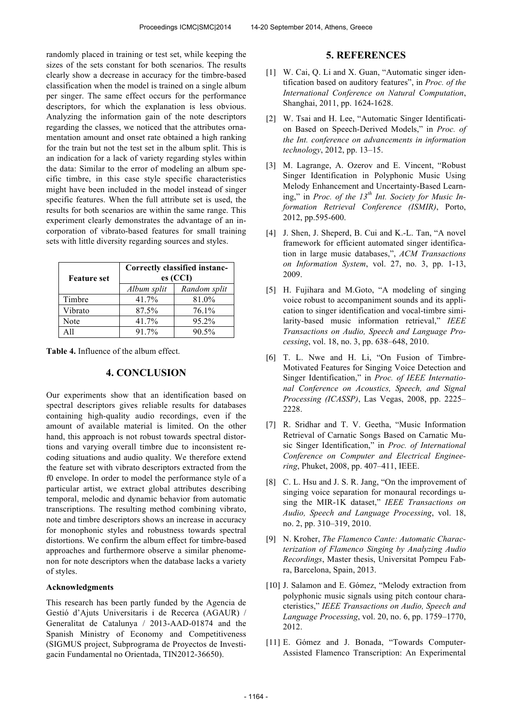randomly placed in training or test set, while keeping the sizes of the sets constant for both scenarios. The results clearly show a decrease in accuracy for the timbre-based classification when the model is trained on a single album per singer. The same effect occurs for the performance descriptors, for which the explanation is less obvious. Analyzing the information gain of the note descriptors regarding the classes, we noticed that the attributes ornamentation amount and onset rate obtained a high ranking for the train but not the test set in the album split. This is an indication for a lack of variety regarding styles within the data: Similar to the error of modeling an album specific timbre, in this case style specific characteristics might have been included in the model instead of singer specific features. When the full attribute set is used, the results for both scenarios are within the same range. This experiment clearly demonstrates the advantage of an incorporation of vibrato-based features for small training sets with little diversity regarding sources and styles.

| <b>Feature set</b> | Correctly classified instanc-<br>es (CCI) |              |  |
|--------------------|-------------------------------------------|--------------|--|
|                    | Album split                               | Random split |  |
| Timbre             | 41.7%                                     | 81.0%        |  |
| Vibrato            | 87.5%                                     | 76.1%        |  |
| Note               | 41.7%                                     | 95.2%        |  |
| A 11               | 91.7%                                     | $90.5\%$     |  |

**Table 4.** Influence of the album effect.

# **4. CONCLUSION**

Our experiments show that an identification based on spectral descriptors gives reliable results for databases containing high-quality audio recordings, even if the amount of available material is limited. On the other hand, this approach is not robust towards spectral distortions and varying overall timbre due to inconsistent recoding situations and audio quality. We therefore extend the feature set with vibrato descriptors extracted from the f0 envelope. In order to model the performance style of a particular artist, we extract global attributes describing temporal, melodic and dynamic behavior from automatic transcriptions. The resulting method combining vibrato, note and timbre descriptors shows an increase in accuracy for monophonic styles and robustness towards spectral distortions. We confirm the album effect for timbre-based approaches and furthermore observe a similar phenomenon for note descriptors when the database lacks a variety of styles.

## **Acknowledgments**

This research has been partly funded by the Agencia de Gestió d'Ajuts Universitaris i de Recerca (AGAUR) / Generalitat de Catalunya / 2013-AAD-01874 and the Spanish Ministry of Economy and Competitiveness (SIGMUS project, Subprograma de Proyectos de Investigacin Fundamental no Orientada, TIN2012-36650).

## **5. REFERENCES**

- [1] W. Cai, O. Li and X. Guan, "Automatic singer identification based on auditory features", in *Proc. of the International Conference on Natural Computation*, Shanghai, 2011, pp. 1624-1628.
- [2] W. Tsai and H. Lee, "Automatic Singer Identification Based on Speech-Derived Models," in *Proc. of the Int. conference on advancements in information technology*, 2012, pp. 13–15.
- [3] M. Lagrange, A. Ozerov and E. Vincent, "Robust Singer Identification in Polyphonic Music Using Melody Enhancement and Uncertainty-Based Learning," in *Proc. of the 13th Int. Society for Music Information Retrieval Conference (ISMIR)*, Porto, 2012, pp.595-600.
- [4] J. Shen, J. Sheperd, B. Cui and K.-L. Tan, "A novel framework for efficient automated singer identification in large music databases,", *ACM Transactions on Information System*, vol. 27, no. 3, pp. 1-13, 2009.
- [5] H. Fujihara and M.Goto, "A modeling of singing voice robust to accompaniment sounds and its application to singer identification and vocal-timbre similarity-based music information retrieval," *IEEE Transactions on Audio, Speech and Language Processing*, vol. 18, no. 3, pp. 638–648, 2010.
- [6] T. L. Nwe and H. Li, "On Fusion of Timbre-Motivated Features for Singing Voice Detection and Singer Identification," in *Proc. of IEEE International Conference on Acoustics, Speech, and Signal Processing (ICASSP)*, Las Vegas, 2008, pp. 2225– 2228.
- [7] R. Sridhar and T. V. Geetha, "Music Information Retrieval of Carnatic Songs Based on Carnatic Music Singer Identification," in *Proc. of International Conference on Computer and Electrical Engineering*, Phuket, 2008, pp. 407–411, IEEE.
- [8] C. L. Hsu and J. S. R. Jang, "On the improvement of singing voice separation for monaural recordings using the MIR-1K dataset," *IEEE Transactions on Audio, Speech and Language Processing*, vol. 18, no. 2, pp. 310–319, 2010.
- [9] N. Kroher, *The Flamenco Cante: Automatic Characterization of Flamenco Singing by Analyzing Audio Recordings*, Master thesis, Universitat Pompeu Fabra, Barcelona, Spain, 2013.
- [10] J. Salamon and E. Gómez, "Melody extraction from polyphonic music signals using pitch contour characteristics," *IEEE Transactions on Audio, Speech and Language Processing*, vol. 20, no. 6, pp. 1759–1770, 2012.
- [11] E. Gómez and J. Bonada, "Towards Computer-Assisted Flamenco Transcription: An Experimental